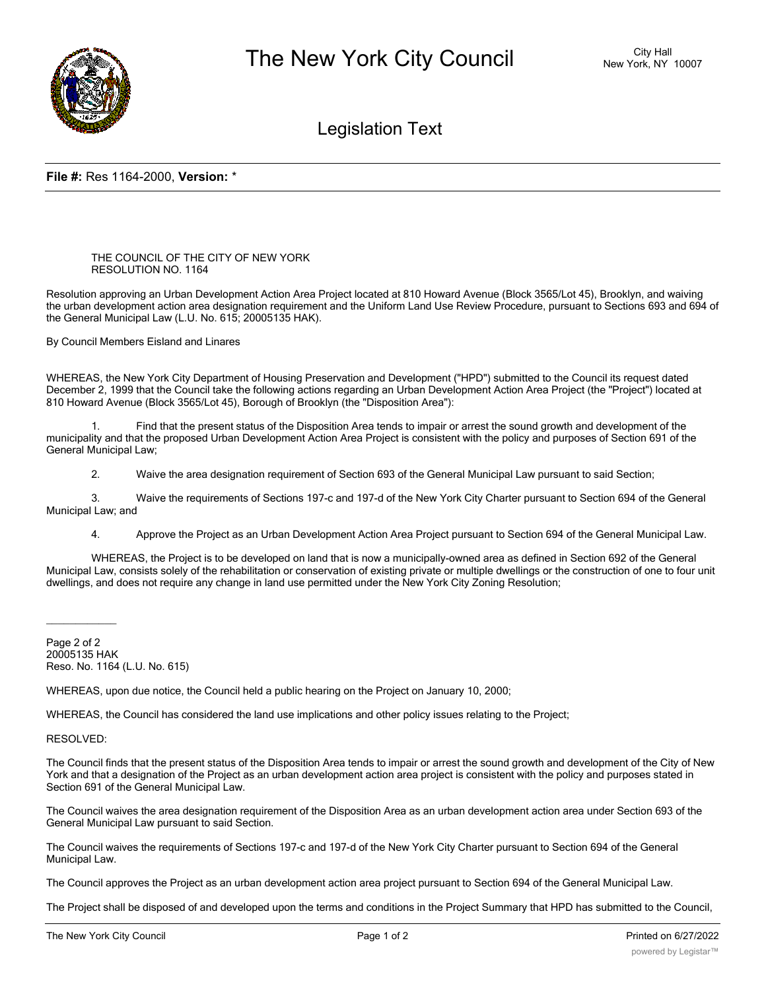

## Legislation Text

## **File #:** Res 1164-2000, **Version:** \*

THE COUNCIL OF THE CITY OF NEW YORK RESOLUTION NO. 1164

Resolution approving an Urban Development Action Area Project located at 810 Howard Avenue (Block 3565/Lot 45), Brooklyn, and waiving the urban development action area designation requirement and the Uniform Land Use Review Procedure, pursuant to Sections 693 and 694 of the General Municipal Law (L.U. No. 615; 20005135 HAK).

By Council Members Eisland and Linares

WHEREAS, the New York City Department of Housing Preservation and Development ("HPD") submitted to the Council its request dated December 2, 1999 that the Council take the following actions regarding an Urban Development Action Area Project (the "Project") located at 810 Howard Avenue (Block 3565/Lot 45), Borough of Brooklyn (the "Disposition Area"):

1. Find that the present status of the Disposition Area tends to impair or arrest the sound growth and development of the municipality and that the proposed Urban Development Action Area Project is consistent with the policy and purposes of Section 691 of the General Municipal Law;

2. Waive the area designation requirement of Section 693 of the General Municipal Law pursuant to said Section;

3. Waive the requirements of Sections 197-c and 197-d of the New York City Charter pursuant to Section 694 of the General Municipal Law; and

4. Approve the Project as an Urban Development Action Area Project pursuant to Section 694 of the General Municipal Law.

WHEREAS, the Project is to be developed on land that is now a municipally-owned area as defined in Section 692 of the General Municipal Law, consists solely of the rehabilitation or conservation of existing private or multiple dwellings or the construction of one to four unit dwellings, and does not require any change in land use permitted under the New York City Zoning Resolution;

Page 2 of 2 20005135 HAK Reso. No. 1164 (L.U. No. 615)

WHEREAS, upon due notice, the Council held a public hearing on the Project on January 10, 2000;

WHEREAS, the Council has considered the land use implications and other policy issues relating to the Project;

RESOLVED:

 $\overline{\phantom{a}}$ 

The Council finds that the present status of the Disposition Area tends to impair or arrest the sound growth and development of the City of New York and that a designation of the Project as an urban development action area project is consistent with the policy and purposes stated in Section 691 of the General Municipal Law.

The Council waives the area designation requirement of the Disposition Area as an urban development action area under Section 693 of the General Municipal Law pursuant to said Section.

The Council waives the requirements of Sections 197-c and 197-d of the New York City Charter pursuant to Section 694 of the General Municipal Law.

The Council approves the Project as an urban development action area project pursuant to Section 694 of the General Municipal Law.

The Project shall be disposed of and developed upon the terms and conditions in the Project Summary that HPD has submitted to the Council,

a copy of which is attached here to which is attached here to be a